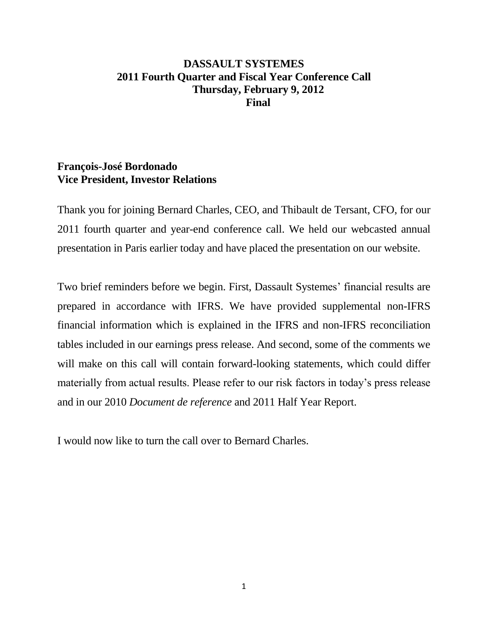## **DASSAULT SYSTEMES 2011 Fourth Quarter and Fiscal Year Conference Call Thursday, February 9, 2012 Final**

## **François-José Bordonado Vice President, Investor Relations**

Thank you for joining Bernard Charles, CEO, and Thibault de Tersant, CFO, for our 2011 fourth quarter and year-end conference call. We held our webcasted annual presentation in Paris earlier today and have placed the presentation on our website.

Two brief reminders before we begin. First, Dassault Systemes' financial results are prepared in accordance with IFRS. We have provided supplemental non-IFRS financial information which is explained in the IFRS and non-IFRS reconciliation tables included in our earnings press release. And second, some of the comments we will make on this call will contain forward-looking statements, which could differ materially from actual results. Please refer to our risk factors in today's press release and in our 2010 *Document de reference* and 2011 Half Year Report.

I would now like to turn the call over to Bernard Charles.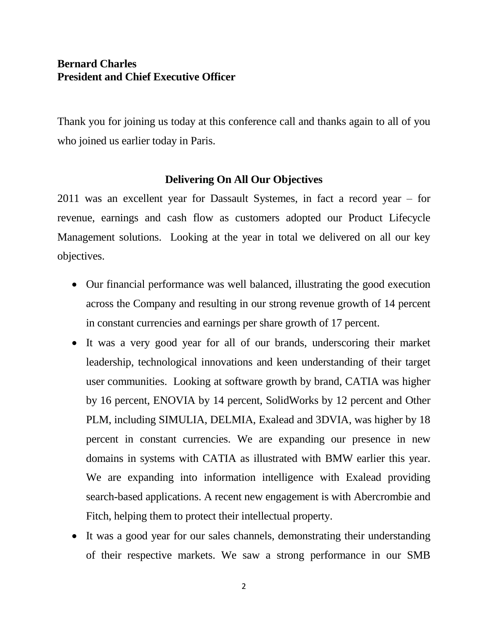## **Bernard Charles President and Chief Executive Officer**

Thank you for joining us today at this conference call and thanks again to all of you who joined us earlier today in Paris.

## **Delivering On All Our Objectives**

2011 was an excellent year for Dassault Systemes, in fact a record year – for revenue, earnings and cash flow as customers adopted our Product Lifecycle Management solutions. Looking at the year in total we delivered on all our key objectives.

- Our financial performance was well balanced, illustrating the good execution across the Company and resulting in our strong revenue growth of 14 percent in constant currencies and earnings per share growth of 17 percent.
- It was a very good year for all of our brands, underscoring their market leadership, technological innovations and keen understanding of their target user communities. Looking at software growth by brand, CATIA was higher by 16 percent, ENOVIA by 14 percent, SolidWorks by 12 percent and Other PLM, including SIMULIA, DELMIA, Exalead and 3DVIA, was higher by 18 percent in constant currencies. We are expanding our presence in new domains in systems with CATIA as illustrated with BMW earlier this year. We are expanding into information intelligence with Exalead providing search-based applications. A recent new engagement is with Abercrombie and Fitch, helping them to protect their intellectual property.
- It was a good year for our sales channels, demonstrating their understanding of their respective markets. We saw a strong performance in our SMB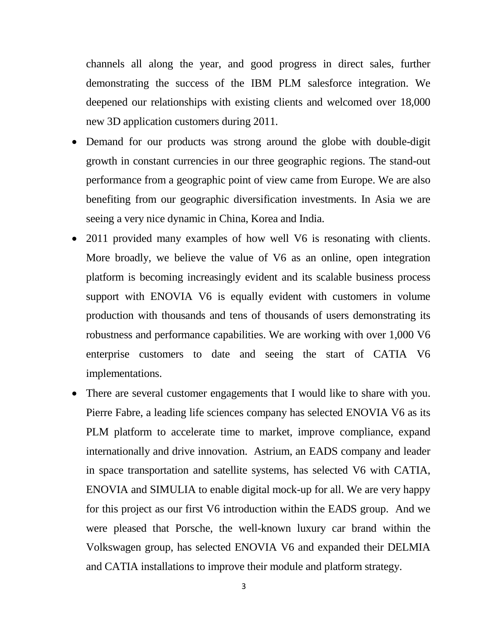channels all along the year, and good progress in direct sales, further demonstrating the success of the IBM PLM salesforce integration. We deepened our relationships with existing clients and welcomed over 18,000 new 3D application customers during 2011.

- Demand for our products was strong around the globe with double-digit growth in constant currencies in our three geographic regions. The stand-out performance from a geographic point of view came from Europe. We are also benefiting from our geographic diversification investments. In Asia we are seeing a very nice dynamic in China, Korea and India.
- 2011 provided many examples of how well V6 is resonating with clients. More broadly, we believe the value of V6 as an online, open integration platform is becoming increasingly evident and its scalable business process support with ENOVIA V6 is equally evident with customers in volume production with thousands and tens of thousands of users demonstrating its robustness and performance capabilities. We are working with over 1,000 V6 enterprise customers to date and seeing the start of CATIA V6 implementations.
- There are several customer engagements that I would like to share with you. Pierre Fabre, a leading life sciences company has selected ENOVIA V6 as its PLM platform to accelerate time to market, improve compliance, expand internationally and drive innovation. Astrium, an EADS company and leader in space transportation and satellite systems, has selected V6 with CATIA, ENOVIA and SIMULIA to enable digital mock-up for all. We are very happy for this project as our first V6 introduction within the EADS group. And we were pleased that Porsche, the well-known luxury car brand within the Volkswagen group, has selected ENOVIA V6 and expanded their DELMIA and CATIA installations to improve their module and platform strategy.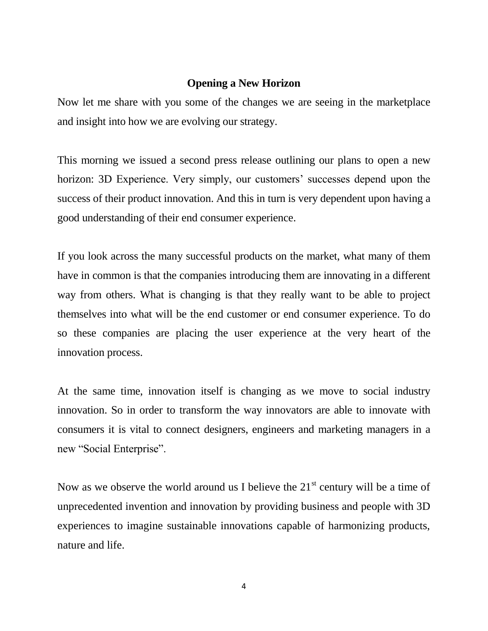### **Opening a New Horizon**

Now let me share with you some of the changes we are seeing in the marketplace and insight into how we are evolving our strategy.

This morning we issued a second press release outlining our plans to open a new horizon: 3D Experience. Very simply, our customers' successes depend upon the success of their product innovation. And this in turn is very dependent upon having a good understanding of their end consumer experience.

If you look across the many successful products on the market, what many of them have in common is that the companies introducing them are innovating in a different way from others. What is changing is that they really want to be able to project themselves into what will be the end customer or end consumer experience. To do so these companies are placing the user experience at the very heart of the innovation process.

At the same time, innovation itself is changing as we move to social industry innovation. So in order to transform the way innovators are able to innovate with consumers it is vital to connect designers, engineers and marketing managers in a new "Social Enterprise".

Now as we observe the world around us I believe the  $21<sup>st</sup>$  century will be a time of unprecedented invention and innovation by providing business and people with 3D experiences to imagine sustainable innovations capable of harmonizing products, nature and life.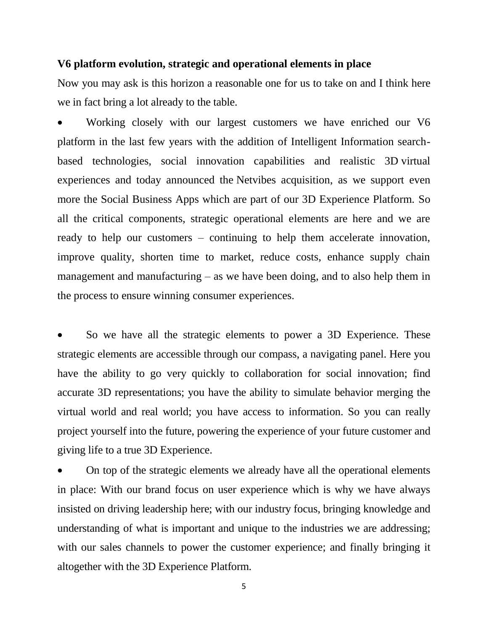### **V6 platform evolution, strategic and operational elements in place**

Now you may ask is this horizon a reasonable one for us to take on and I think here we in fact bring a lot already to the table.

 Working closely with our largest customers we have enriched our V6 platform in the last few years with the addition of Intelligent Information searchbased technologies, social innovation capabilities and realistic 3D virtual experiences and today announced the Netvibes acquisition, as we support even more the Social Business Apps which are part of our 3D Experience Platform. So all the critical components, strategic operational elements are here and we are ready to help our customers – continuing to help them accelerate innovation, improve quality, shorten time to market, reduce costs, enhance supply chain management and manufacturing – as we have been doing, and to also help them in the process to ensure winning consumer experiences.

 So we have all the strategic elements to power a 3D Experience. These strategic elements are accessible through our compass, a navigating panel. Here you have the ability to go very quickly to collaboration for social innovation; find accurate 3D representations; you have the ability to simulate behavior merging the virtual world and real world; you have access to information. So you can really project yourself into the future, powering the experience of your future customer and giving life to a true 3D Experience.

 On top of the strategic elements we already have all the operational elements in place: With our brand focus on user experience which is why we have always insisted on driving leadership here; with our industry focus, bringing knowledge and understanding of what is important and unique to the industries we are addressing; with our sales channels to power the customer experience; and finally bringing it altogether with the 3D Experience Platform.

5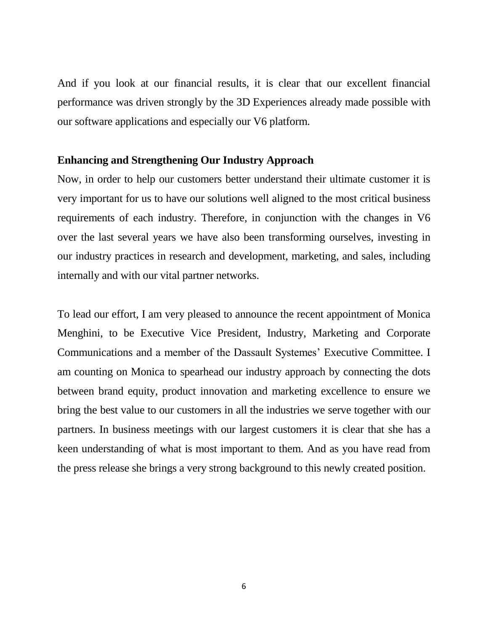And if you look at our financial results, it is clear that our excellent financial performance was driven strongly by the 3D Experiences already made possible with our software applications and especially our V6 platform.

### **Enhancing and Strengthening Our Industry Approach**

Now, in order to help our customers better understand their ultimate customer it is very important for us to have our solutions well aligned to the most critical business requirements of each industry. Therefore, in conjunction with the changes in V6 over the last several years we have also been transforming ourselves, investing in our industry practices in research and development, marketing, and sales, including internally and with our vital partner networks.

To lead our effort, I am very pleased to announce the recent appointment of Monica Menghini, to be Executive Vice President, Industry, Marketing and Corporate Communications and a member of the Dassault Systemes' Executive Committee. I am counting on Monica to spearhead our industry approach by connecting the dots between brand equity, product innovation and marketing excellence to ensure we bring the best value to our customers in all the industries we serve together with our partners. In business meetings with our largest customers it is clear that she has a keen understanding of what is most important to them. And as you have read from the press release she brings a very strong background to this newly created position.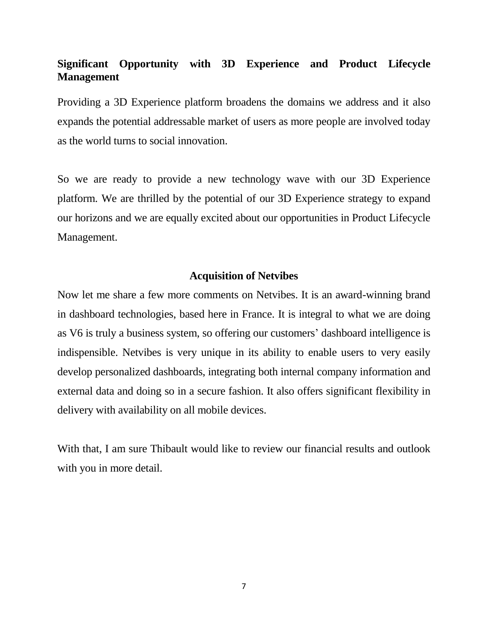# **Significant Opportunity with 3D Experience and Product Lifecycle Management**

Providing a 3D Experience platform broadens the domains we address and it also expands the potential addressable market of users as more people are involved today as the world turns to social innovation.

So we are ready to provide a new technology wave with our 3D Experience platform. We are thrilled by the potential of our 3D Experience strategy to expand our horizons and we are equally excited about our opportunities in Product Lifecycle Management.

### **Acquisition of Netvibes**

Now let me share a few more comments on Netvibes. It is an award-winning brand in dashboard technologies, based here in France. It is integral to what we are doing as V6 is truly a business system, so offering our customers' dashboard intelligence is indispensible. Netvibes is very unique in its ability to enable users to very easily develop personalized dashboards, integrating both internal company information and external data and doing so in a secure fashion. It also offers significant flexibility in delivery with availability on all mobile devices.

With that, I am sure Thibault would like to review our financial results and outlook with you in more detail.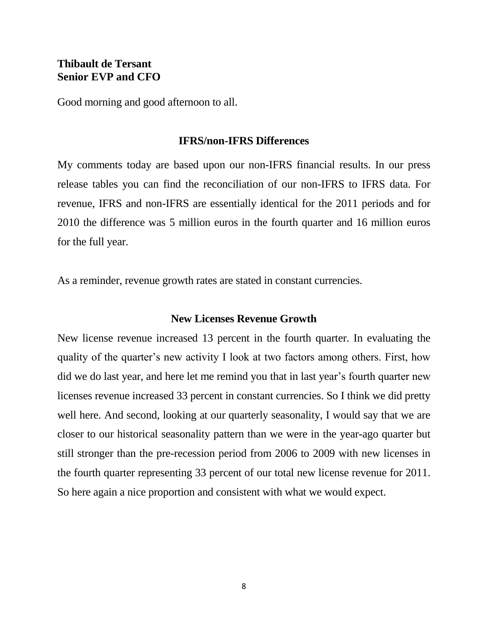## **Thibault de Tersant Senior EVP and CFO**

Good morning and good afternoon to all.

### **IFRS/non-IFRS Differences**

My comments today are based upon our non-IFRS financial results. In our press release tables you can find the reconciliation of our non-IFRS to IFRS data. For revenue, IFRS and non-IFRS are essentially identical for the 2011 periods and for 2010 the difference was 5 million euros in the fourth quarter and 16 million euros for the full year.

As a reminder, revenue growth rates are stated in constant currencies.

### **New Licenses Revenue Growth**

New license revenue increased 13 percent in the fourth quarter. In evaluating the quality of the quarter's new activity I look at two factors among others. First, how did we do last year, and here let me remind you that in last year's fourth quarter new licenses revenue increased 33 percent in constant currencies. So I think we did pretty well here. And second, looking at our quarterly seasonality, I would say that we are closer to our historical seasonality pattern than we were in the year-ago quarter but still stronger than the pre-recession period from 2006 to 2009 with new licenses in the fourth quarter representing 33 percent of our total new license revenue for 2011. So here again a nice proportion and consistent with what we would expect.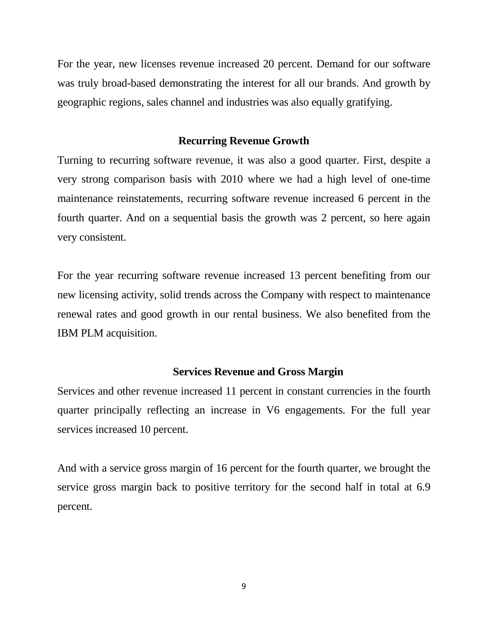For the year, new licenses revenue increased 20 percent. Demand for our software was truly broad-based demonstrating the interest for all our brands. And growth by geographic regions, sales channel and industries was also equally gratifying.

#### **Recurring Revenue Growth**

Turning to recurring software revenue, it was also a good quarter. First, despite a very strong comparison basis with 2010 where we had a high level of one-time maintenance reinstatements, recurring software revenue increased 6 percent in the fourth quarter. And on a sequential basis the growth was 2 percent, so here again very consistent.

For the year recurring software revenue increased 13 percent benefiting from our new licensing activity, solid trends across the Company with respect to maintenance renewal rates and good growth in our rental business. We also benefited from the IBM PLM acquisition.

#### **Services Revenue and Gross Margin**

Services and other revenue increased 11 percent in constant currencies in the fourth quarter principally reflecting an increase in V6 engagements. For the full year services increased 10 percent.

And with a service gross margin of 16 percent for the fourth quarter, we brought the service gross margin back to positive territory for the second half in total at 6.9 percent.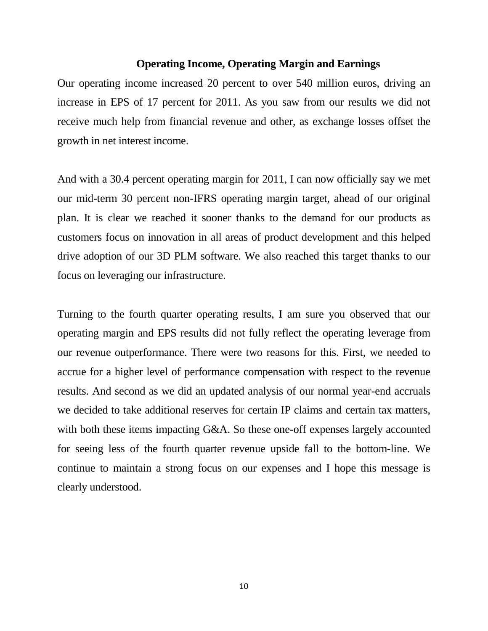### **Operating Income, Operating Margin and Earnings**

Our operating income increased 20 percent to over 540 million euros, driving an increase in EPS of 17 percent for 2011. As you saw from our results we did not receive much help from financial revenue and other, as exchange losses offset the growth in net interest income.

And with a 30.4 percent operating margin for 2011, I can now officially say we met our mid-term 30 percent non-IFRS operating margin target, ahead of our original plan. It is clear we reached it sooner thanks to the demand for our products as customers focus on innovation in all areas of product development and this helped drive adoption of our 3D PLM software. We also reached this target thanks to our focus on leveraging our infrastructure.

Turning to the fourth quarter operating results, I am sure you observed that our operating margin and EPS results did not fully reflect the operating leverage from our revenue outperformance. There were two reasons for this. First, we needed to accrue for a higher level of performance compensation with respect to the revenue results. And second as we did an updated analysis of our normal year-end accruals we decided to take additional reserves for certain IP claims and certain tax matters, with both these items impacting G&A. So these one-off expenses largely accounted for seeing less of the fourth quarter revenue upside fall to the bottom-line. We continue to maintain a strong focus on our expenses and I hope this message is clearly understood.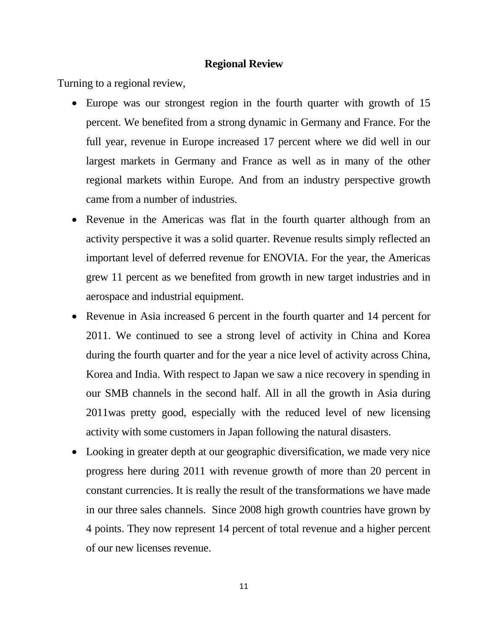### **Regional Review**

Turning to a regional review,

- Europe was our strongest region in the fourth quarter with growth of 15 percent. We benefited from a strong dynamic in Germany and France. For the full year, revenue in Europe increased 17 percent where we did well in our largest markets in Germany and France as well as in many of the other regional markets within Europe. And from an industry perspective growth came from a number of industries.
- Revenue in the Americas was flat in the fourth quarter although from an activity perspective it was a solid quarter. Revenue results simply reflected an important level of deferred revenue for ENOVIA. For the year, the Americas grew 11 percent as we benefited from growth in new target industries and in aerospace and industrial equipment.
- Revenue in Asia increased 6 percent in the fourth quarter and 14 percent for 2011. We continued to see a strong level of activity in China and Korea during the fourth quarter and for the year a nice level of activity across China, Korea and India. With respect to Japan we saw a nice recovery in spending in our SMB channels in the second half. All in all the growth in Asia during 2011was pretty good, especially with the reduced level of new licensing activity with some customers in Japan following the natural disasters.
- Looking in greater depth at our geographic diversification, we made very nice progress here during 2011 with revenue growth of more than 20 percent in constant currencies. It is really the result of the transformations we have made in our three sales channels. Since 2008 high growth countries have grown by 4 points. They now represent 14 percent of total revenue and a higher percent of our new licenses revenue.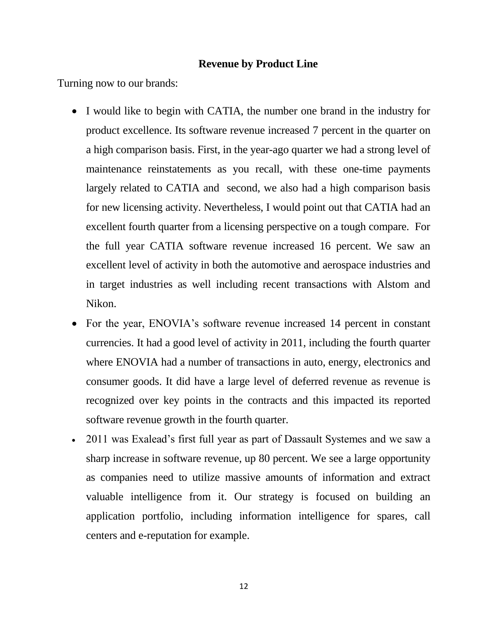### **Revenue by Product Line**

Turning now to our brands:

- I would like to begin with CATIA, the number one brand in the industry for product excellence. Its software revenue increased 7 percent in the quarter on a high comparison basis. First, in the year-ago quarter we had a strong level of maintenance reinstatements as you recall, with these one-time payments largely related to CATIA and second, we also had a high comparison basis for new licensing activity. Nevertheless, I would point out that CATIA had an excellent fourth quarter from a licensing perspective on a tough compare. For the full year CATIA software revenue increased 16 percent. We saw an excellent level of activity in both the automotive and aerospace industries and in target industries as well including recent transactions with Alstom and Nikon.
- For the year, ENOVIA's software revenue increased 14 percent in constant currencies. It had a good level of activity in 2011, including the fourth quarter where ENOVIA had a number of transactions in auto, energy, electronics and consumer goods. It did have a large level of deferred revenue as revenue is recognized over key points in the contracts and this impacted its reported software revenue growth in the fourth quarter.
- 2011 was Exalead's first full year as part of Dassault Systemes and we saw a sharp increase in software revenue, up 80 percent. We see a large opportunity as companies need to utilize massive amounts of information and extract valuable intelligence from it. Our strategy is focused on building an application portfolio, including information intelligence for spares, call centers and e-reputation for example.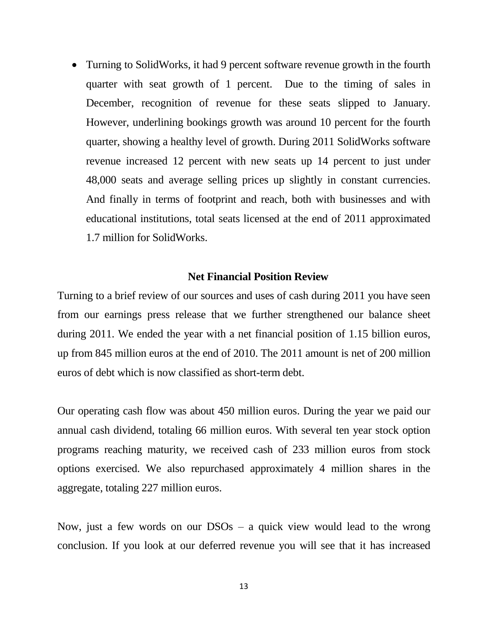• Turning to SolidWorks, it had 9 percent software revenue growth in the fourth quarter with seat growth of 1 percent. Due to the timing of sales in December, recognition of revenue for these seats slipped to January. However, underlining bookings growth was around 10 percent for the fourth quarter, showing a healthy level of growth. During 2011 SolidWorks software revenue increased 12 percent with new seats up 14 percent to just under 48,000 seats and average selling prices up slightly in constant currencies. And finally in terms of footprint and reach, both with businesses and with educational institutions, total seats licensed at the end of 2011 approximated 1.7 million for SolidWorks.

### **Net Financial Position Review**

Turning to a brief review of our sources and uses of cash during 2011 you have seen from our earnings press release that we further strengthened our balance sheet during 2011. We ended the year with a net financial position of 1.15 billion euros, up from 845 million euros at the end of 2010. The 2011 amount is net of 200 million euros of debt which is now classified as short-term debt.

Our operating cash flow was about 450 million euros. During the year we paid our annual cash dividend, totaling 66 million euros. With several ten year stock option programs reaching maturity, we received cash of 233 million euros from stock options exercised. We also repurchased approximately 4 million shares in the aggregate, totaling 227 million euros.

Now, just a few words on our DSOs – a quick view would lead to the wrong conclusion. If you look at our deferred revenue you will see that it has increased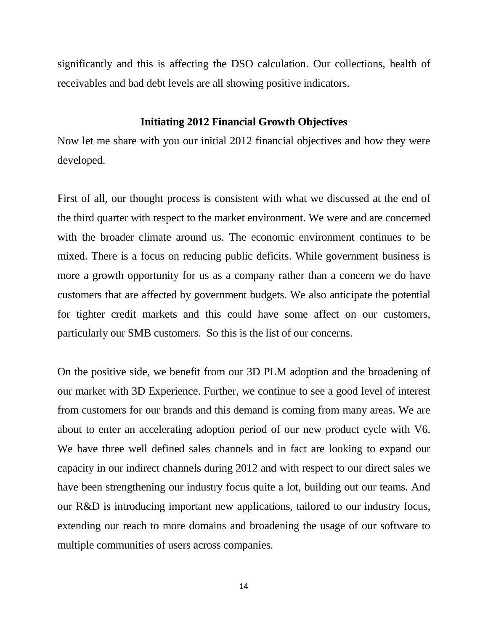significantly and this is affecting the DSO calculation. Our collections, health of receivables and bad debt levels are all showing positive indicators.

### **Initiating 2012 Financial Growth Objectives**

Now let me share with you our initial 2012 financial objectives and how they were developed.

First of all, our thought process is consistent with what we discussed at the end of the third quarter with respect to the market environment. We were and are concerned with the broader climate around us. The economic environment continues to be mixed. There is a focus on reducing public deficits. While government business is more a growth opportunity for us as a company rather than a concern we do have customers that are affected by government budgets. We also anticipate the potential for tighter credit markets and this could have some affect on our customers, particularly our SMB customers. So this is the list of our concerns.

On the positive side, we benefit from our 3D PLM adoption and the broadening of our market with 3D Experience. Further, we continue to see a good level of interest from customers for our brands and this demand is coming from many areas. We are about to enter an accelerating adoption period of our new product cycle with V6. We have three well defined sales channels and in fact are looking to expand our capacity in our indirect channels during 2012 and with respect to our direct sales we have been strengthening our industry focus quite a lot, building out our teams. And our R&D is introducing important new applications, tailored to our industry focus, extending our reach to more domains and broadening the usage of our software to multiple communities of users across companies.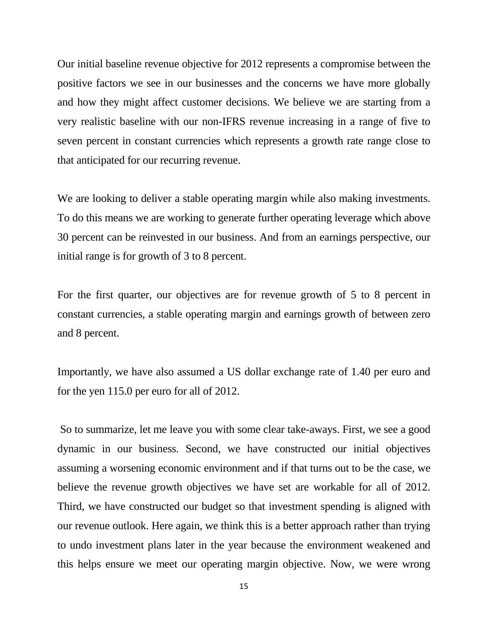Our initial baseline revenue objective for 2012 represents a compromise between the positive factors we see in our businesses and the concerns we have more globally and how they might affect customer decisions. We believe we are starting from a very realistic baseline with our non-IFRS revenue increasing in a range of five to seven percent in constant currencies which represents a growth rate range close to that anticipated for our recurring revenue.

We are looking to deliver a stable operating margin while also making investments. To do this means we are working to generate further operating leverage which above 30 percent can be reinvested in our business. And from an earnings perspective, our initial range is for growth of 3 to 8 percent.

For the first quarter, our objectives are for revenue growth of 5 to 8 percent in constant currencies, a stable operating margin and earnings growth of between zero and 8 percent.

Importantly, we have also assumed a US dollar exchange rate of 1.40 per euro and for the yen 115.0 per euro for all of 2012.

So to summarize, let me leave you with some clear take-aways. First, we see a good dynamic in our business. Second, we have constructed our initial objectives assuming a worsening economic environment and if that turns out to be the case, we believe the revenue growth objectives we have set are workable for all of 2012. Third, we have constructed our budget so that investment spending is aligned with our revenue outlook. Here again, we think this is a better approach rather than trying to undo investment plans later in the year because the environment weakened and this helps ensure we meet our operating margin objective. Now, we were wrong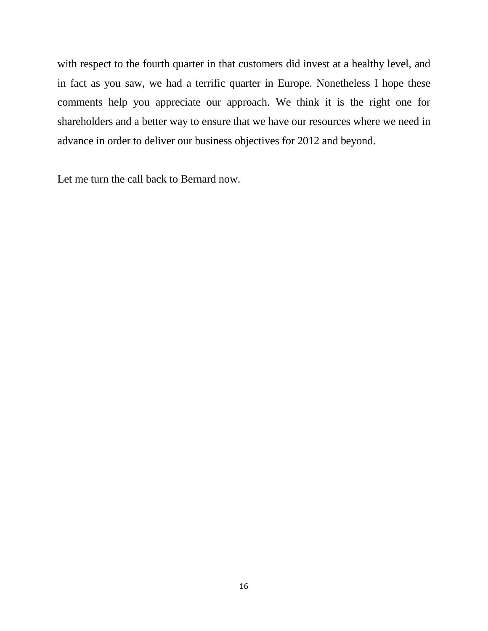with respect to the fourth quarter in that customers did invest at a healthy level, and in fact as you saw, we had a terrific quarter in Europe. Nonetheless I hope these comments help you appreciate our approach. We think it is the right one for shareholders and a better way to ensure that we have our resources where we need in advance in order to deliver our business objectives for 2012 and beyond.

Let me turn the call back to Bernard now.